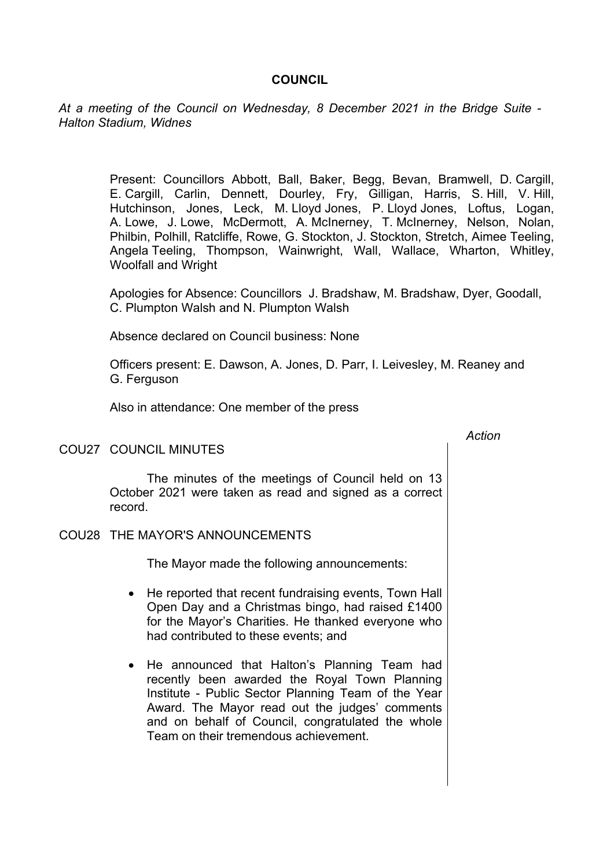### **COUNCIL**

*At a meeting of the Council on Wednesday, 8 December 2021 in the Bridge Suite - Halton Stadium, Widnes*

> Present: Councillors Abbott, Ball, Baker, Begg, Bevan, Bramwell, D. Cargill, E. Cargill, Carlin, Dennett, Dourley, Fry, Gilligan, Harris, S. Hill, V. Hill, Hutchinson, Jones, Leck, M. Lloyd Jones, P. Lloyd Jones, Loftus, Logan, A. Lowe, J. Lowe, McDermott, A. McInerney, T. McInerney, Nelson, Nolan, Philbin, Polhill, Ratcliffe, Rowe, G. Stockton, J. Stockton, Stretch, Aimee Teeling, Angela Teeling, Thompson, Wainwright, Wall, Wallace, Wharton, Whitley, Woolfall and Wright

Apologies for Absence: Councillors J. Bradshaw, M. Bradshaw, Dyer, Goodall, C. Plumpton Walsh and N. Plumpton Walsh

Absence declared on Council business: None

Officers present: E. Dawson, A. Jones, D. Parr, I. Leivesley, M. Reaney and G. Ferguson

*Action*

Also in attendance: One member of the press

#### COU27 COUNCIL MINUTES

The minutes of the meetings of Council held on 13 October 2021 were taken as read and signed as a correct record.

#### COU28 THE MAYOR'S ANNOUNCEMENTS

The Mayor made the following announcements:

- He reported that recent fundraising events. Town Hall Open Day and a Christmas bingo, had raised £1400 for the Mayor's Charities. He thanked everyone who had contributed to these events; and
- He announced that Halton's Planning Team had recently been awarded the Royal Town Planning Institute - Public Sector Planning Team of the Year Award. The Mayor read out the judges' comments and on behalf of Council, congratulated the whole Team on their tremendous achievement.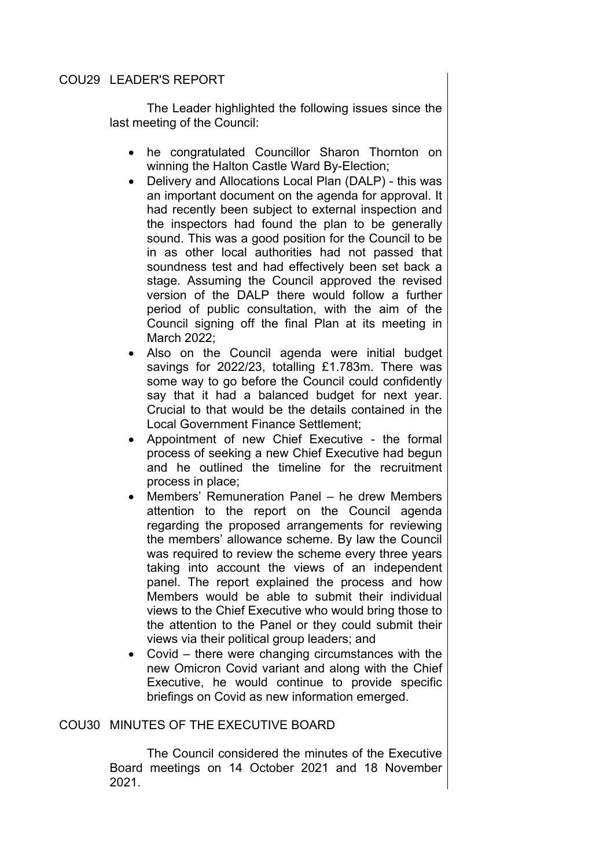# COU29 LEADER'S REPORT

The Leader highlighted the following issues since the last meeting of the Council:

- he congratulated Councillor Sharon Thornton on winning the Halton Castle Ward By-Election;
- Delivery and Allocations Local Plan (DALP) this was an important document on the agenda for approval. It had recently been subject to external inspection and the inspectors had found the plan to be generally sound. This was a good position for the Council to be in as other local authorities had not passed that soundness test and had effectively been set back a stage. Assuming the Council approved the revised version of the DALP there would follow a further period of public consultation, with the aim of the Council signing off the final Plan at its meeting in March 2022;
- Also on the Council agenda were initial budget savings for 2022/23, totalling £1.783m. There was some way to go before the Council could confidently say that it had a balanced budget for next year. Crucial to that would be the details contained in the Local Government Finance Settlement;
- Appointment of new Chief Executive the formal process of seeking a new Chief Executive had begun and he outlined the timeline for the recruitment process in place;
- Members' Remuneration Panel he drew Members attention to the report on the Council agenda regarding the proposed arrangements for reviewing the members' allowance scheme. By law the Council was required to review the scheme every three years taking into account the views of an independent panel. The report explained the process and how Members would be able to submit their individual views to the Chief Executive who would bring those to the attention to the Panel or they could submit their views via their political group leaders; and
- Covid there were changing circumstances with the new Omicron Covid variant and along with the Chief Executive, he would continue to provide specific briefings on Covid as new information emerged.

# COU30 MINUTES OF THE EXECUTIVE BOARD

The Council considered the minutes of the Executive Board meetings on 14 October 2021 and 18 November 2021.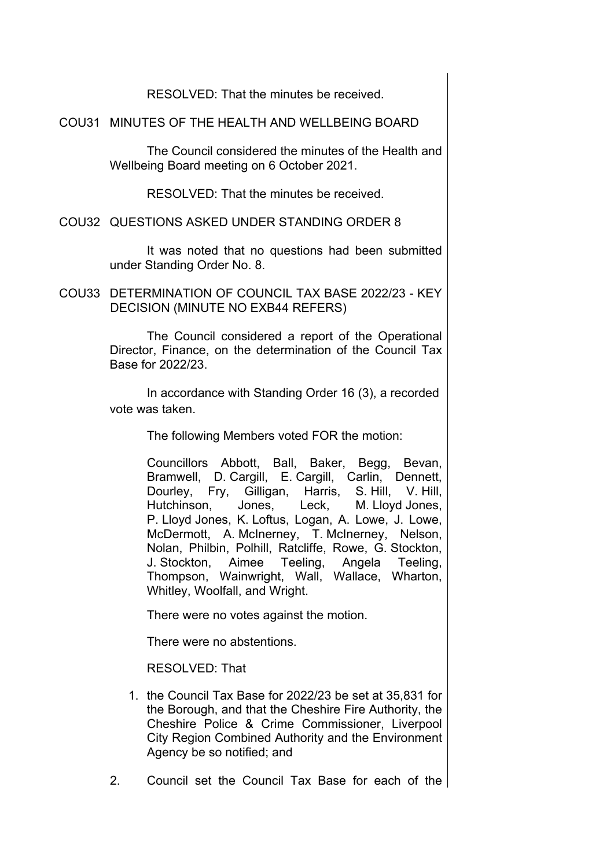RESOLVED: That the minutes be received.

COU31 MINUTES OF THE HEALTH AND WELLBEING BOARD

The Council considered the minutes of the Health and Wellbeing Board meeting on 6 October 2021.

RESOLVED: That the minutes be received.

COU32 QUESTIONS ASKED UNDER STANDING ORDER 8

It was noted that no questions had been submitted under Standing Order No. 8.

COU33 DETERMINATION OF COUNCIL TAX BASE 2022/23 - KEY DECISION (MINUTE NO EXB44 REFERS)

> The Council considered a report of the Operational Director, Finance, on the determination of the Council Tax Base for 2022/23.

> In accordance with Standing Order 16 (3), a recorded vote was taken.

> > The following Members voted FOR the motion:

Councillors Abbott, Ball, Baker, Begg, Bevan, Bramwell, D. Cargill, E. Cargill, Carlin, Dennett, Dourley, Fry, Gilligan, Harris, S. Hill, V. Hill, Hutchinson, Jones, Leck, M. Lloyd Jones, P. Lloyd Jones, K. Loftus, Logan, A. Lowe, J. Lowe, McDermott, A. McInerney, T. McInerney, Nelson, Nolan, Philbin, Polhill, Ratcliffe, Rowe, G. Stockton, J. Stockton, Aimee Teeling, Angela Teeling, Thompson, Wainwright, Wall, Wallace, Wharton, Whitley, Woolfall, and Wright.

There were no votes against the motion.

There were no abstentions.

RESOLVED: That

- 1. the Council Tax Base for 2022/23 be set at 35,831 for the Borough, and that the Cheshire Fire Authority, the Cheshire Police & Crime Commissioner, Liverpool City Region Combined Authority and the Environment Agency be so notified; and
- 2. Council set the Council Tax Base for each of the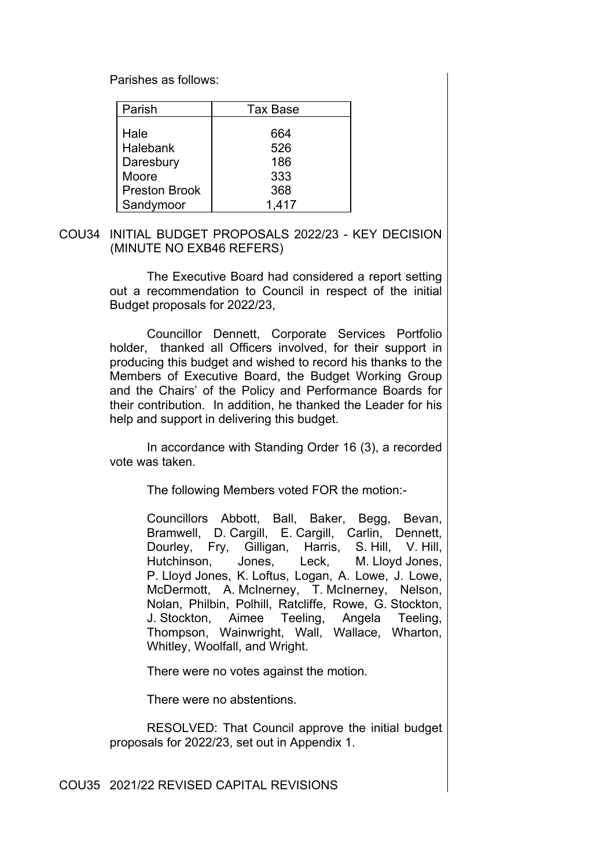Parishes as follows:

| Tax Base |
|----------|
|          |
| 664      |
| 526      |
| 186      |
| 333      |
| 368      |
| 1,417    |
|          |

COU34 INITIAL BUDGET PROPOSALS 2022/23 - KEY DECISION (MINUTE NO EXB46 REFERS)

> The Executive Board had considered a report setting out a recommendation to Council in respect of the initial Budget proposals for 2022/23,

> Councillor Dennett, Corporate Services Portfolio holder, thanked all Officers involved, for their support in producing this budget and wished to record his thanks to the Members of Executive Board, the Budget Working Group and the Chairs' of the Policy and Performance Boards for their contribution. In addition, he thanked the Leader for his help and support in delivering this budget.

> In accordance with Standing Order 16 (3), a recorded vote was taken.

> > The following Members voted FOR the motion:-

Councillors Abbott, Ball, Baker, Begg, Bevan, Bramwell, D. Cargill, E. Cargill, Carlin, Dennett, Dourley, Fry, Gilligan, Harris, S. Hill, V. Hill, Hutchinson, Jones, Leck, M. Lloyd Jones, P. Lloyd Jones, K. Loftus, Logan, A. Lowe, J. Lowe, McDermott, A. McInerney, T. McInerney, Nelson, Nolan, Philbin, Polhill, Ratcliffe, Rowe, G. Stockton, J. Stockton, Aimee Teeling, Angela Teeling, Thompson, Wainwright, Wall, Wallace, Wharton, Whitley, Woolfall, and Wright.

There were no votes against the motion.

There were no abstentions.

RESOLVED: That Council approve the initial budget proposals for 2022/23, set out in Appendix 1.

#### COU35 2021/22 REVISED CAPITAL REVISIONS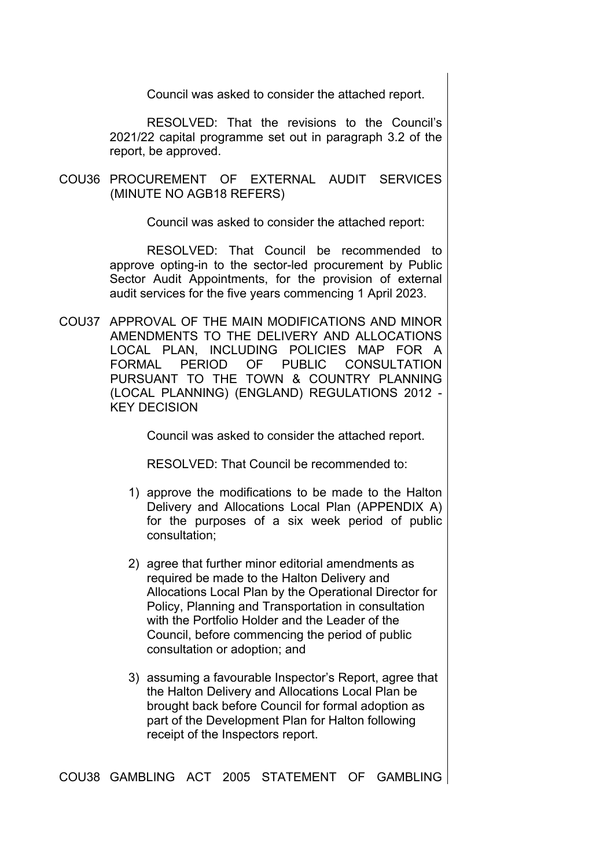Council was asked to consider the attached report.

RESOLVED: That the revisions to the Council's 2021/22 capital programme set out in paragraph 3.2 of the report, be approved.

COU36 PROCUREMENT OF EXTERNAL AUDIT SERVICES (MINUTE NO AGB18 REFERS)

Council was asked to consider the attached report:

RESOLVED: That Council be recommended to approve opting-in to the sector-led procurement by Public Sector Audit Appointments, for the provision of external audit services for the five years commencing 1 April 2023.

COU37 APPROVAL OF THE MAIN MODIFICATIONS AND MINOR AMENDMENTS TO THE DELIVERY AND ALLOCATIONS LOCAL PLAN, INCLUDING POLICIES MAP FOR A FORMAL PERIOD OF PUBLIC CONSULTATION PURSUANT TO THE TOWN & COUNTRY PLANNING (LOCAL PLANNING) (ENGLAND) REGULATIONS 2012 - KEY DECISION

Council was asked to consider the attached report.

RESOLVED: That Council be recommended to:

- 1) approve the modifications to be made to the Halton Delivery and Allocations Local Plan (APPENDIX A) for the purposes of a six week period of public consultation;
- 2) agree that further minor editorial amendments as required be made to the Halton Delivery and Allocations Local Plan by the Operational Director for Policy, Planning and Transportation in consultation with the Portfolio Holder and the Leader of the Council, before commencing the period of public consultation or adoption; and
- 3) assuming a favourable Inspector's Report, agree that the Halton Delivery and Allocations Local Plan be brought back before Council for formal adoption as part of the Development Plan for Halton following receipt of the Inspectors report.

COU38 GAMBLING ACT 2005 STATEMENT OF GAMBLING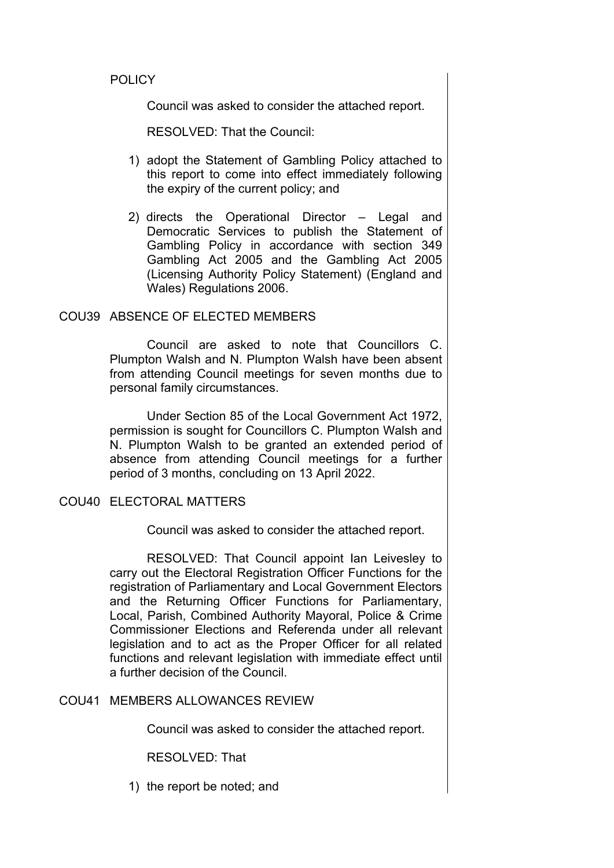# **POLICY**

Council was asked to consider the attached report.

RESOLVED: That the Council:

- 1) adopt the Statement of Gambling Policy attached to this report to come into effect immediately following the expiry of the current policy; and
- 2) directs the Operational Director Legal and Democratic Services to publish the Statement of Gambling Policy in accordance with section 349 Gambling Act 2005 and the Gambling Act 2005 (Licensing Authority Policy Statement) (England and Wales) Regulations 2006.

#### COU39 ABSENCE OF ELECTED MEMBERS

Council are asked to note that Councillors C. Plumpton Walsh and N. Plumpton Walsh have been absent from attending Council meetings for seven months due to personal family circumstances.

Under Section 85 of the Local Government Act 1972, permission is sought for Councillors C. Plumpton Walsh and N. Plumpton Walsh to be granted an extended period of absence from attending Council meetings for a further period of 3 months, concluding on 13 April 2022.

# COU40 ELECTORAL MATTERS

Council was asked to consider the attached report.

RESOLVED: That Council appoint Ian Leivesley to carry out the Electoral Registration Officer Functions for the registration of Parliamentary and Local Government Electors and the Returning Officer Functions for Parliamentary, Local, Parish, Combined Authority Mayoral, Police & Crime Commissioner Elections and Referenda under all relevant legislation and to act as the Proper Officer for all related functions and relevant legislation with immediate effect until a further decision of the Council.

#### COU41 MEMBERS ALLOWANCES REVIEW

Council was asked to consider the attached report.

RESOLVED: That

1) the report be noted; and